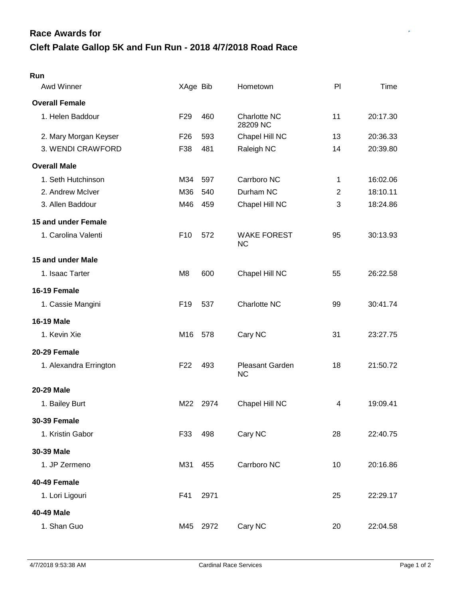| Awd Winner             | XAge Bib        |      | Hometown                        | PI             | Time     |
|------------------------|-----------------|------|---------------------------------|----------------|----------|
| <b>Overall Female</b>  |                 |      |                                 |                |          |
| 1. Helen Baddour       | F <sub>29</sub> | 460  | <b>Charlotte NC</b><br>28209 NC | 11             | 20:17.30 |
| 2. Mary Morgan Keyser  | F <sub>26</sub> | 593  | Chapel Hill NC                  | 13             | 20:36.33 |
| 3. WENDI CRAWFORD      | F38             | 481  | Raleigh NC                      | 14             | 20:39.80 |
| <b>Overall Male</b>    |                 |      |                                 |                |          |
| 1. Seth Hutchinson     | M34             | 597  | Carrboro NC                     | 1              | 16:02.06 |
| 2. Andrew McIver       | M36             | 540  | Durham NC                       | $\overline{2}$ | 18:10.11 |
| 3. Allen Baddour       | M46             | 459  | Chapel Hill NC                  | 3              | 18:24.86 |
| 15 and under Female    |                 |      |                                 |                |          |
| 1. Carolina Valenti    | F <sub>10</sub> | 572  | <b>WAKE FOREST</b><br><b>NC</b> | 95             | 30:13.93 |
| 15 and under Male      |                 |      |                                 |                |          |
| 1. Isaac Tarter        | M <sub>8</sub>  | 600  | Chapel Hill NC                  | 55             | 26:22.58 |
| 16-19 Female           |                 |      |                                 |                |          |
| 1. Cassie Mangini      | F <sub>19</sub> | 537  | Charlotte NC                    | 99             | 30:41.74 |
| <b>16-19 Male</b>      |                 |      |                                 |                |          |
| 1. Kevin Xie           | M16             | 578  | Cary NC                         | 31             | 23:27.75 |
| 20-29 Female           |                 |      |                                 |                |          |
| 1. Alexandra Errington | F <sub>22</sub> | 493  | Pleasant Garden<br><b>NC</b>    | 18             | 21:50.72 |
| <b>20-29 Male</b>      |                 |      |                                 |                |          |
| 1. Bailey Burt         | M22             | 2974 | Chapel Hill NC                  | 4              | 19:09.41 |
| <b>30-39 Female</b>    |                 |      |                                 |                |          |
| 1. Kristin Gabor       | F33             | 498  | Cary NC                         | 28             | 22:40.75 |
| 30-39 Male             |                 |      |                                 |                |          |
| 1. JP Zermeno          | M31             | 455  | Carrboro NC                     | 10             | 20:16.86 |
| 40-49 Female           |                 |      |                                 |                |          |
| 1. Lori Ligouri        | F41             | 2971 |                                 | 25             | 22:29.17 |
| 40-49 Male             |                 |      |                                 |                |          |
| 1. Shan Guo            | M45             | 2972 | Cary NC                         | 20             | 22:04.58 |

**Run**